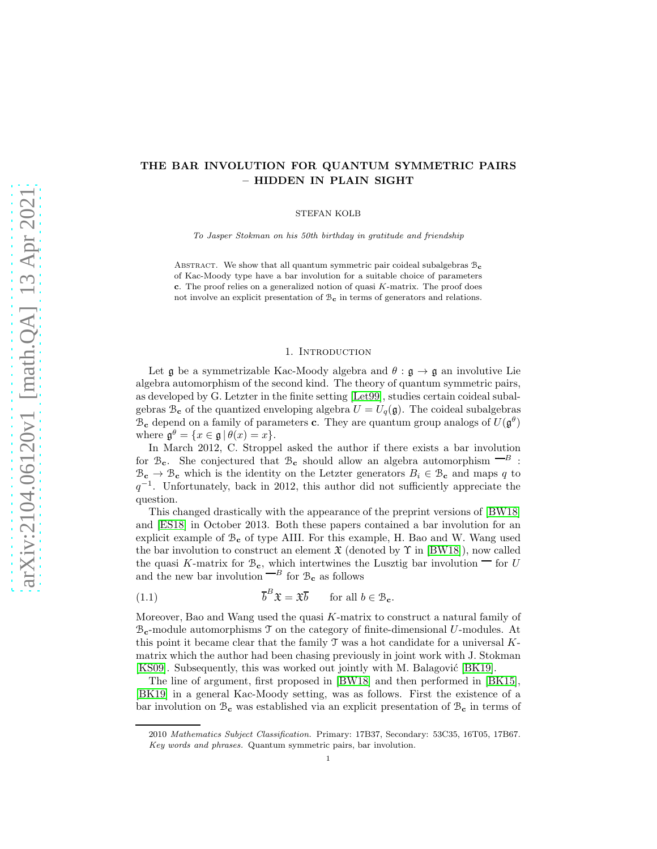# THE BAR INVOLUTION FOR QUANTUM SYMMETRIC PAIRS – HIDDEN IN PLAIN SIGHT

STEFAN KOLB

To Jasper Stokman on his 50th birthday in gratitude and friendship

ABSTRACT. We show that all quantum symmetric pair coideal subalgebras  $B_c$ of Kac-Moody type have a bar involution for a suitable choice of parameters c. The proof relies on a generalized notion of quasi  $K$ -matrix. The proof does not involve an explicit presentation of  $B_c$  in terms of generators and relations.

# 1. INTRODUCTION

Let g be a symmetrizable Kac-Moody algebra and  $\theta : \mathfrak{g} \to \mathfrak{g}$  an involutive Lie algebra automorphism of the second kind. The theory of quantum symmetric pairs, as developed by G. Letzter in the finite setting [\[Let99\]](#page-8-0), studies certain coideal subalgebras  $\mathcal{B}_{c}$  of the quantized enveloping algebra  $U = U_{q}(\mathfrak{g})$ . The coideal subalgebras  $\mathcal{B}_{\mathbf{c}}$  depend on a family of parameters **c**. They are quantum group analogs of  $U(\mathfrak{g}^{\theta})$ where  $\mathfrak{g}^{\theta} = \{x \in \mathfrak{g} \mid \theta(x) = x\}.$ 

In March 2012, C. Stroppel asked the author if there exists a bar involution for  $\mathcal{B}_{c}$ . She conjectured that  $\mathcal{B}_{c}$  should allow an algebra automorphism  $\overline{B}$ :  $\mathcal{B}_{c} \to \mathcal{B}_{c}$  which is the identity on the Letzter generators  $B_i \in \mathcal{B}_{c}$  and maps q to  $q^{-1}$ . Unfortunately, back in 2012, this author did not sufficiently appreciate the question.

This changed drastically with the appearance of the preprint versions of [\[BW18\]](#page-8-1) and [\[ES18\]](#page-8-2) in October 2013. Both these papers contained a bar involution for an explicit example of  $\mathcal{B}_{c}$  of type AIII. For this example, H. Bao and W. Wang used the bar involution to construct an element  $\mathfrak X$  (denoted by  $\Upsilon$  in [\[BW18\]](#page-8-1)), now called the quasi K-matrix for  $\mathcal{B}_{c}$ , which intertwines the Lusztig bar involution  $\Box$  for U and the new bar involution  $-B$  for  $B_c$  as follows

<span id="page-0-0"></span>(1.1) 
$$
\overline{b}^B \mathfrak{X} = \mathfrak{X} \overline{b} \quad \text{for all } b \in \mathcal{B}_{\mathbf{c}}.
$$

Moreover, Bao and Wang used the quasi  $K$ -matrix to construct a natural family of  $B_c$ -module automorphisms  $\mathcal T$  on the category of finite-dimensional U-modules. At this point it became clear that the family  $\mathcal T$  was a hot candidate for a universal  $K$ matrix which the author had been chasing previously in joint work with J. Stokman [\[KS09\]](#page-8-3). Subsequently, this was worked out jointly with M. Balagović [\[BK19\]](#page-8-4).

The line of argument, first proposed in [\[BW18\]](#page-8-1) and then performed in [\[BK15\]](#page-8-5), [\[BK19\]](#page-8-4) in a general Kac-Moody setting, was as follows. First the existence of a bar involution on  $\mathcal{B}_{c}$  was established via an explicit presentation of  $\mathcal{B}_{c}$  in terms of

<sup>2010</sup> Mathematics Subject Classification. Primary: 17B37, Secondary: 53C35, 16T05, 17B67. Key words and phrases. Quantum symmetric pairs, bar involution.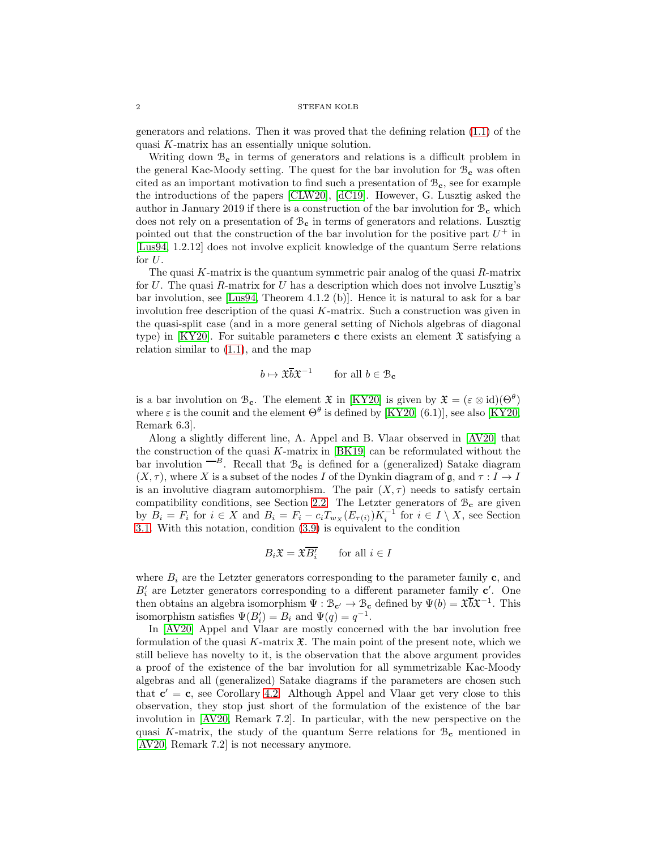### $2\,$   $\,$   $\,$  STEFAN KOLB  $\,$

generators and relations. Then it was proved that the defining relation [\(1.1\)](#page-0-0) of the quasi K-matrix has an essentially unique solution.

Writing down  $\mathcal{B}_{c}$  in terms of generators and relations is a difficult problem in the general Kac-Moody setting. The quest for the bar involution for  $B_c$  was often cited as an important motivation to find such a presentation of  $B_c$ , see for example the introductions of the papers [\[CLW20\]](#page-8-6), [\[dC19\]](#page-8-7). However, G. Lusztig asked the author in January 2019 if there is a construction of the bar involution for  $B_c$  which does not rely on a presentation of  $B_c$  in terms of generators and relations. Lusztig pointed out that the construction of the bar involution for the positive part  $U^+$  in [\[Lus94,](#page-8-8) 1.2.12] does not involve explicit knowledge of the quantum Serre relations for  $U$ .

The quasi  $K$ -matrix is the quantum symmetric pair analog of the quasi  $R$ -matrix for U. The quasi  $R$ -matrix for U has a description which does not involve Lusztig's bar involution, see [\[Lus94,](#page-8-8) Theorem 4.1.2 (b)]. Hence it is natural to ask for a bar involution free description of the quasi  $K$ -matrix. Such a construction was given in the quasi-split case (and in a more general setting of Nichols algebras of diagonal type) in [\[KY20\]](#page-8-9). For suitable parameters c there exists an element  $\mathfrak X$  satisfying a relation similar to [\(1.1\)](#page-0-0), and the map

$$
b \mapsto \mathfrak{X}\overline{b}\mathfrak{X}^{-1} \qquad \text{for all } b \in \mathcal{B}_{\mathbf{c}}
$$

is a bar involution on  $\mathcal{B}_{c}$ . The element  $\mathfrak{X}$  in [\[KY20\]](#page-8-9) is given by  $\mathfrak{X} = (\varepsilon \otimes id)(\Theta^{\theta})$ where  $\varepsilon$  is the counit and the element  $\Theta^{\theta}$  is defined by [\[KY20,](#page-8-9) (6.1)], see also [KY20, Remark 6.3].

Along a slightly different line, A. Appel and B. Vlaar observed in [\[AV20\]](#page-8-10) that the construction of the quasi  $K$ -matrix in [\[BK19\]](#page-8-4) can be reformulated without the bar involution  $^{-B}$ . Recall that  $B_c$  is defined for a (generalized) Satake diagram  $(X, \tau)$ , where X is a subset of the nodes I of the Dynkin diagram of g, and  $\tau : I \to I$ is an involutive diagram automorphism. The pair  $(X, \tau)$  needs to satisfy certain compatibility conditions, see Section [2.2.](#page-3-0) The Letzter generators of  $\mathcal{B}_{c}$  are given by  $B_i = F_i$  for  $i \in X$  and  $B_i = F_i - c_i T_{w_X}(E_{\tau(i)}) K_i^{-1}$  for  $i \in I \setminus X$ , see Section [3.1.](#page-3-1) With this notation, condition [\(3.9\)](#page-7-0) is equivalent to the condition

$$
B_i \mathfrak{X} = \mathfrak{X} \overline{B_i'} \qquad \text{for all } i \in I
$$

where  $B_i$  are the Letzter generators corresponding to the parameter family c, and  $B'_{i}$  are Letzter generators corresponding to a different parameter family  $\mathbf{c}'$ . One then obtains an algebra isomorphism  $\Psi : \mathcal{B}_{c'} \to \mathcal{B}_{c}$  defined by  $\Psi(b) = \mathfrak{X} \overline{b} \mathfrak{X}^{-1}$ . This isomorphism satisfies  $\Psi(B'_i) = B_i$  and  $\Psi(q) = q^{-1}$ .

In [\[AV20\]](#page-8-10) Appel and Vlaar are mostly concerned with the bar involution free formulation of the quasi K-matrix  $\mathfrak{X}$ . The main point of the present note, which we still believe has novelty to it, is the observation that the above argument provides a proof of the existence of the bar involution for all symmetrizable Kac-Moody algebras and all (generalized) Satake diagrams if the parameters are chosen such that  $c' = c$ , see Corollary [4.2.](#page-7-1) Although Appel and Vlaar get very close to this observation, they stop just short of the formulation of the existence of the bar involution in [\[AV20,](#page-8-10) Remark 7.2]. In particular, with the new perspective on the quasi K-matrix, the study of the quantum Serre relations for  $\mathcal{B}_{c}$  mentioned in [\[AV20,](#page-8-10) Remark 7.2] is not necessary anymore.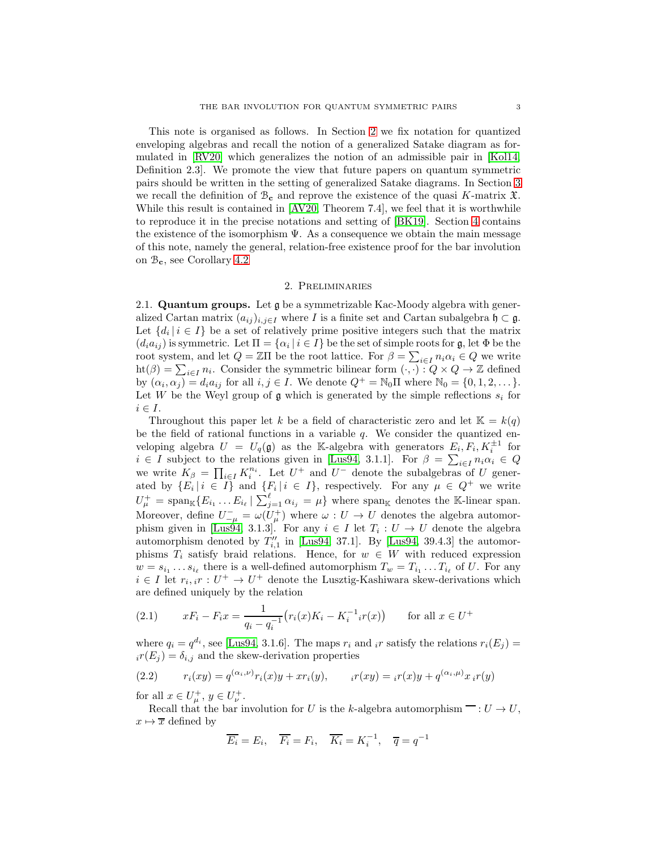This note is organised as follows. In Section [2](#page-2-0) we fix notation for quantized enveloping algebras and recall the notion of a generalized Satake diagram as formulated in [\[RV20\]](#page-8-11) which generalizes the notion of an admissible pair in [\[Kol14,](#page-8-12) Definition 2.3]. We promote the view that future papers on quantum symmetric pairs should be written in the setting of generalized Satake diagrams. In Section [3](#page-3-2) we recall the definition of  $\mathcal{B}_{c}$  and reprove the existence of the quasi K-matrix  $\mathfrak{X}$ . While this result is contained in [\[AV20,](#page-8-10) Theorem 7.4], we feel that it is worthwhile to reproduce it in the precise notations and setting of [\[BK19\]](#page-8-4). Section [4](#page-7-2) contains the existence of the isomorphism  $\Psi$ . As a consequence we obtain the main message of this note, namely the general, relation-free existence proof for the bar involution on  $\mathcal{B}_{\mathbf{c}}$ , see Corollary [4.2](#page-7-1)

## 2. Preliminaries

<span id="page-2-0"></span>2.1. Quantum groups. Let g be a symmetrizable Kac-Moody algebra with generalized Cartan matrix  $(a_{ij})_{i,j\in I}$  where I is a finite set and Cartan subalgebra  $\mathfrak{h} \subset \mathfrak{g}$ . Let  $\{d_i \mid i \in I\}$  be a set of relatively prime positive integers such that the matrix  $(d_i a_{ij})$  is symmetric. Let  $\Pi = {\alpha_i | i \in I}$  be the set of simple roots for  $\mathfrak{g}$ , let  $\Phi$  be the root system, and let  $Q = \mathbb{Z} \Pi$  be the root lattice. For  $\beta = \sum_{i \in I} n_i \alpha_i \in Q$  we write  $\text{ht}(\beta) = \sum_{i \in I} n_i$ . Consider the symmetric bilinear form  $(\cdot, \cdot) : Q \times Q \to \mathbb{Z}$  defined by  $(\alpha_i, \alpha_j) = d_i a_{ij}$  for all  $i, j \in I$ . We denote  $Q^+ = \mathbb{N}_0 \Pi$  where  $\mathbb{N}_0 = \{0, 1, 2, \dots\}$ . Let W be the Weyl group of  $\mathfrak g$  which is generated by the simple reflections  $s_i$  for  $i \in I$ .

Throughout this paper let k be a field of characteristic zero and let  $\mathbb{K} = k(q)$ be the field of rational functions in a variable  $q$ . We consider the quantized enveloping algebra  $U = U_q(\mathfrak{g})$  as the K-algebra with generators  $E_i, F_i, K_i^{\pm 1}$  for  $i \in I$  subject to the relations given in [\[Lus94,](#page-8-8) 3.1.1]. For  $\beta = \sum_{i \in I} n_i \alpha_i \in Q$ we write  $K_{\beta} = \prod_{i \in I} K_i^{n_i}$ . Let  $U^+$  and  $U^-$  denote the subalgebras of U generated by  $\{E_i \mid i \in I\}$  and  $\{F_i \mid i \in I\}$ , respectively. For any  $\mu \in Q^+$  we write  $U^+_\mu = \text{span}_{\mathbb{K}}\{E_{i_1} \dots E_{i_\ell} \mid \sum_{j=1}^\ell \alpha_{i_j} = \mu\}$  where span<sub>K</sub> denotes the K-linear span. Moreover, define  $U_{-\mu}^- = \omega(U_{\mu}^+)$  where  $\omega : U \to U$  denotes the algebra automor-phism given in [\[Lus94,](#page-8-8) 3.1.3]. For any  $i \in I$  let  $T_i : U \to U$  denote the algebra automorphism denoted by  $T''_{i,1}$  in [\[Lus94,](#page-8-8) 37.1]. By [Lus94, 39.4.3] the automorphisms  $T_i$  satisfy braid relations. Hence, for  $w \in W$  with reduced expression  $w = s_{i_1} \dots s_{i_\ell}$  there is a well-defined automorphism  $T_w = T_{i_1} \dots T_{i_\ell}$  of U. For any  $i \in I$  let  $r_i, i r : U^+ \to U^+$  denote the Lusztig-Kashiwara skew-derivations which are defined uniquely by the relation

<span id="page-2-1"></span>(2.1) 
$$
xF_i - F_ix = \frac{1}{q_i - q_i^{-1}} \left( r_i(x)K_i - K_i^{-1}{}_ir(x) \right) \quad \text{for all } x \in U^+
$$

where  $q_i = q^{d_i}$ , see [\[Lus94,](#page-8-8) 3.1.6]. The maps  $r_i$  and  $_i r$  satisfy the relations  $r_i(E_j)$  =  $i_r(E_j) = \delta_{i,j}$  and the skew-derivation properties

<span id="page-2-2"></span>(2.2) 
$$
r_i(xy) = q^{(\alpha_i, \nu)} r_i(x) y + x r_i(y), \qquad i r(xy) = i r(x) y + q^{(\alpha_i, \mu)} x_i r(y)
$$

for all  $x \in U^+_\mu$ ,  $y \in U^+_\nu$ .

Recall that the bar involution for U is the k-algebra automorphism  $\overline{\phantom{m}}:U\to U,$  $x \mapsto \overline{x}$  defined by

$$
\overline{E_i} = E_i, \quad \overline{F_i} = F_i, \quad \overline{K_i} = K_i^{-1}, \quad \overline{q} = q^{-1}
$$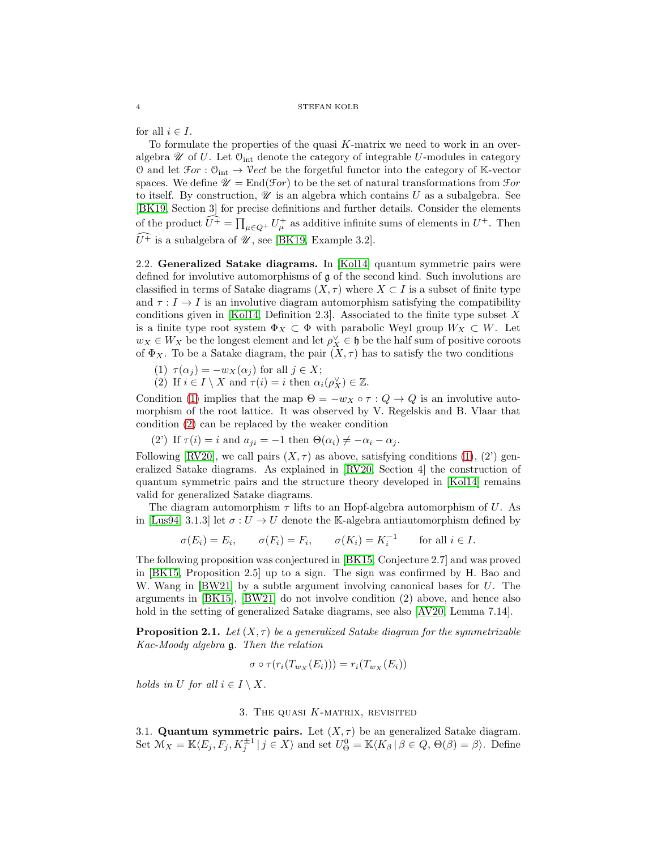for all  $i \in I$ .

To formulate the properties of the quasi K-matrix we need to work in an overalgebra  $\mathscr U$  of U. Let  $\mathbb O_{\rm int}$  denote the category of integrable U-modules in category O and let  $\mathfrak{F}or : \mathfrak{O}_{int} \to \mathcal{V}ect$  be the forgetful functor into the category of K-vector spaces. We define  $\mathscr{U} = \text{End}(\mathscr{F}or)$  to be the set of natural transformations from  $\mathscr{F}or$ to itself. By construction,  $\mathscr U$  is an algebra which contains U as a subalgebra. See [\[BK19,](#page-8-4) Section 3] for precise definitions and further details. Consider the elements of the product  $\widehat{U^+} = \prod_{\mu \in Q^+} U^+_{\mu}$  as additive infinite sums of elements in  $U^+$ . Then  $\widehat{U^+}$  is a subalgebra of  $\mathscr U$ , see [\[BK19,](#page-8-4) Example 3.2].

<span id="page-3-0"></span>2.2. Generalized Satake diagrams. In [\[Kol14\]](#page-8-12) quantum symmetric pairs were defined for involutive automorphisms of  $\mathfrak g$  of the second kind. Such involutions are classified in terms of Satake diagrams  $(X, \tau)$  where  $X \subset I$  is a subset of finite type and  $\tau : I \to I$  is an involutive diagram automorphism satisfying the compatibility conditions given in [\[Kol14,](#page-8-12) Definition 2.3]. Associated to the finite type subset  $X$ is a finite type root system  $\Phi_X \subset \Phi$  with parabolic Weyl group  $W_X \subset W$ . Let  $w_X \in W_X$  be the longest element and let  $\rho_X^{\vee} \in \mathfrak{h}$  be the half sum of positive coroots of  $\Phi_X$ . To be a Satake diagram, the pair  $(X, \tau)$  has to satisfy the two conditions

- <span id="page-3-4"></span><span id="page-3-3"></span>(1)  $\tau(\alpha_i) = -w_X(\alpha_i)$  for all  $j \in X$ ;
- (2) If  $i \in I \setminus X$  and  $\tau(i) = i$  then  $\alpha_i(\rho_X^{\vee}) \in \mathbb{Z}$ .

Condition [\(1\)](#page-3-3) implies that the map  $\Theta = -w_X \circ \tau : Q \to Q$  is an involutive automorphism of the root lattice. It was observed by V. Regelskis and B. Vlaar that condition [\(2\)](#page-3-4) can be replaced by the weaker condition

(2') If  $\tau(i) = i$  and  $a_{ji} = -1$  then  $\Theta(\alpha_i) \neq -\alpha_i - \alpha_j$ .

Following [\[RV20\]](#page-8-11), we call pairs  $(X, \tau)$  as above, satisfying conditions [\(1\)](#page-3-3), (2') generalized Satake diagrams. As explained in [\[RV20,](#page-8-11) Section 4] the construction of quantum symmetric pairs and the structure theory developed in [\[Kol14\]](#page-8-12) remains valid for generalized Satake diagrams.

The diagram automorphism  $\tau$  lifts to an Hopf-algebra automorphism of U. As in [\[Lus94,](#page-8-8) 3.1.3] let  $\sigma: U \to U$  denote the K-algebra antiautomorphism defined by

$$
\sigma(E_i) = E_i, \qquad \sigma(F_i) = F_i, \qquad \sigma(K_i) = K_i^{-1} \qquad \text{for all } i \in I.
$$

The following proposition was conjectured in [\[BK15,](#page-8-5) Conjecture 2.7] and was proved in [\[BK15,](#page-8-5) Proposition 2.5] up to a sign. The sign was confirmed by H. Bao and W. Wang in  $[BW21]$  by a subtle argument involving canonical bases for U. The arguments in [\[BK15\]](#page-8-5), [\[BW21\]](#page-8-13) do not involve condition (2) above, and hence also hold in the setting of generalized Satake diagrams, see also [\[AV20,](#page-8-10) Lemma 7.14].

<span id="page-3-5"></span>**Proposition 2.1.** Let  $(X, \tau)$  be a generalized Satake diagram for the symmetrizable *Kac-Moody algebra* g*. Then the relation*

$$
\sigma \circ \tau(r_i(T_{w_X}(E_i))) = r_i(T_{w_X}(E_i))
$$

<span id="page-3-2"></span>*holds in* U *for all*  $i \in I \setminus X$ .

### 3. THE QUASI  $K$ -MATRIX, REVISITED

<span id="page-3-1"></span>3.1. Quantum symmetric pairs. Let  $(X, \tau)$  be an generalized Satake diagram. Set  $\mathcal{M}_X = \mathbb{K} \langle E_j, F_j, K_j^{\pm 1} | j \in X \rangle$  and set  $U^0_{\Theta} = \mathbb{K} \langle K_\beta | \beta \in Q, \Theta(\beta) = \beta \rangle$ . Define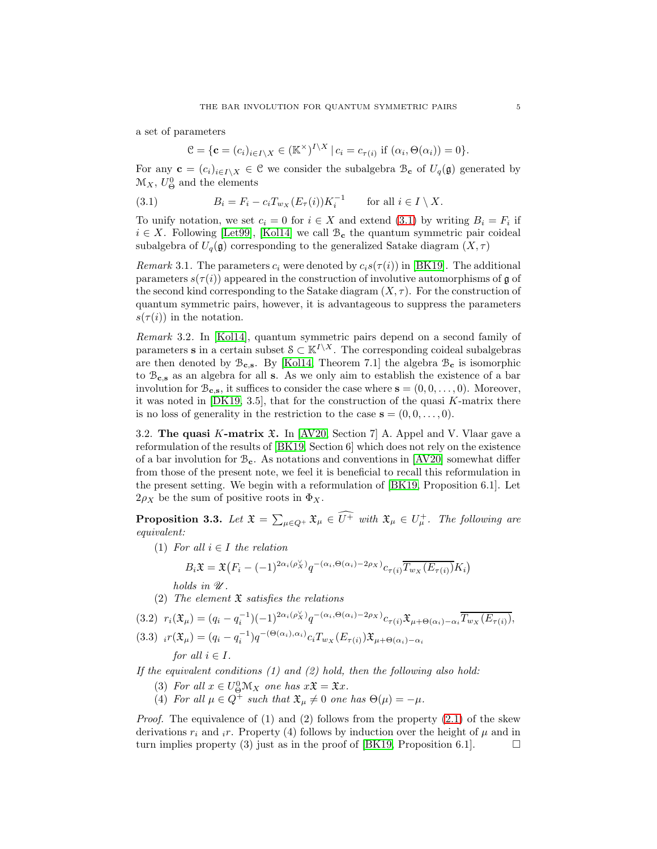a set of parameters

$$
\mathcal{C} = \{ \mathbf{c} = (c_i)_{i \in I \setminus X} \in (\mathbb{K}^\times)^{I \setminus X} \mid c_i = c_{\tau(i)} \text{ if } (\alpha_i, \Theta(\alpha_i)) = 0 \}.
$$

For any  $\mathbf{c} = (c_i)_{i \in I \setminus X} \in \mathcal{C}$  we consider the subalgebra  $\mathcal{B}_{\mathbf{c}}$  of  $U_q(\mathfrak{g})$  generated by  $\mathcal{M}_X, U^0_{\Theta}$  and the elements

<span id="page-4-0"></span>(3.1) 
$$
B_i = F_i - c_i T_{w_X}(E_\tau(i)) K_i^{-1} \quad \text{for all } i \in I \setminus X.
$$

To unify notation, we set  $c_i = 0$  for  $i \in X$  and extend  $(3.1)$  by writing  $B_i = F_i$  if  $i \in X$ . Following [\[Let99\]](#page-8-0), [\[Kol14\]](#page-8-12) we call  $\mathcal{B}_{c}$  the quantum symmetric pair coideal subalgebra of  $U_q(\mathfrak{g})$  corresponding to the generalized Satake diagram  $(X, \tau)$ 

*Remark* 3.1. The parameters  $c_i$  were denoted by  $c_i s(\tau(i))$  in [\[BK19\]](#page-8-4). The additional parameters  $s(\tau(i))$  appeared in the construction of involutive automorphisms of g of the second kind corresponding to the Satake diagram  $(X, \tau)$ . For the construction of quantum symmetric pairs, however, it is advantageous to suppress the parameters  $s(\tau(i))$  in the notation.

*Remark* 3.2*.* In [\[Kol14\]](#page-8-12), quantum symmetric pairs depend on a second family of parameters s in a certain subset  $S \subset K^{I \setminus X}$ . The corresponding coideal subalgebras are then denoted by  $\mathcal{B}_{c,s}$ . By [\[Kol14,](#page-8-12) Theorem 7.1] the algebra  $\mathcal{B}_{c}$  is isomorphic to  $\mathcal{B}_{\mathbf{c},\mathbf{s}}$  as an algebra for all s. As we only aim to establish the existence of a bar involution for  $\mathcal{B}_{c,s}$ , it suffices to consider the case where  $s = (0, 0, \ldots, 0)$ . Moreover, it was noted in  $[DK19, 3.5]$ , that for the construction of the quasi K-matrix there is no loss of generality in the restriction to the case  $\mathbf{s} = (0, 0, \dots, 0)$ .

3.2. The quasi K-matrix  $\mathfrak{X}$ . In [\[AV20,](#page-8-10) Section 7] A. Appel and V. Vlaar gave a reformulation of the results of [\[BK19,](#page-8-4) Section 6] which does not rely on the existence of a bar involution for  $\mathcal{B}_{c}$ . As notations and conventions in [\[AV20\]](#page-8-10) somewhat differ from those of the present note, we feel it is beneficial to recall this reformulation in the present setting. We begin with a reformulation of [\[BK19,](#page-8-4) Proposition 6.1]. Let  $2\rho_X$  be the sum of positive roots in  $\Phi_X$ .

<span id="page-4-3"></span>**Proposition 3.3.** Let  $\mathfrak{X} = \sum_{\mu \in Q^+} \mathfrak{X}_{\mu} \in \widehat{U^+}$  with  $\mathfrak{X}_{\mu} \in U_{\mu}^+$ . The following are *equivalent:*

(1) *For all*  $i \in I$  *the relation* 

$$
B_i \mathfrak{X} = \mathfrak{X} (F_i - (-1)^{2\alpha_i(\rho_X')} q^{-(\alpha_i, \Theta(\alpha_i) - 2\rho_X)} c_{\tau(i)} \overline{T_{w_X}(E_{\tau(i)})} K_i)
$$

*holds in*  $\mathcal{U}$ *.* 

(2) *The element* X *satisfies the relations*

<span id="page-4-2"></span><span id="page-4-1"></span>(3.2) 
$$
r_i(\mathfrak{X}_{\mu}) = (q_i - q_i^{-1})(-1)^{2\alpha_i(\rho_X^{\vee})}q^{-(\alpha_i, \Theta(\alpha_i) - 2\rho_X)}c_{\tau(i)}\mathfrak{X}_{\mu + \Theta(\alpha_i) - \alpha_i}\overline{T_{w_X}(E_{\tau(i)})},
$$
  
(3.3) 
$$
i(\mathfrak{X}_{\mu}) = (q_i - q_i^{-1})q^{-(\Theta(\alpha_i), \alpha_i)}c_iT_{w_X}(E_{\tau(i)})\mathfrak{X}_{\mu + \Theta(\alpha_i) - \alpha_i}
$$
  
for all  $i \in I$ .

*If the equivalent conditions (1) and (2) hold, then the following also hold:*

- (3) For all  $x \in U_Q^0 \mathcal{M}_X$  one has  $x \mathfrak{X} = \mathfrak{X} x$ .
- (4) For all  $\mu \in Q^+$  such that  $\mathfrak{X}_{\mu} \neq 0$  one has  $\Theta(\mu) = -\mu$ .

*Proof.* The equivalence of (1) and (2) follows from the property [\(2.1\)](#page-2-1) of the skew derivations  $r_i$  and  $i$ . Property (4) follows by induction over the height of  $\mu$  and in turn implies property (3) just as in the proof of [\[BK19,](#page-8-4) Proposition 6.1].  $\Box$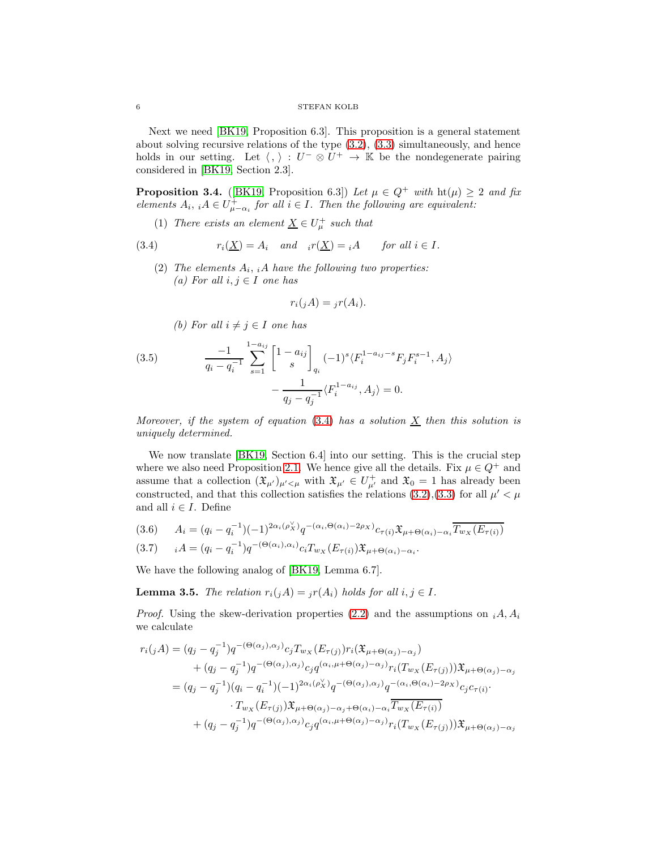### $6\,$   $\,$  STEFAN KOLB  $\,$

Next we need [\[BK19,](#page-8-4) Proposition 6.3]. This proposition is a general statement about solving recursive relations of the type [\(3.2\)](#page-4-1), [\(3.3\)](#page-4-2) simultaneously, and hence holds in our setting. Let  $\langle , \rangle : U^- \otimes U^+ \to \mathbb{K}$  be the nondegenerate pairing considered in [\[BK19,](#page-8-4) Section 2.3].

<span id="page-5-3"></span>**Proposition 3.4.** ([\[BK19,](#page-8-4) Proposition 6.3]) *Let*  $\mu \in Q^+$  *with*  $\text{ht}(\mu) \geq 2$  *and fix elements*  $A_i$ ,  $A \in U^{\dagger}_{\mu-\alpha_i}$  for all  $i \in I$ . Then the following are equivalent:

(1) *There exists an element*  $\underline{X} \in U^+_\mu$  *such that* 

<span id="page-5-0"></span>(3.4) 
$$
r_i(\underline{X}) = A_i \quad and \quad i r(\underline{X}) = iA \quad \text{for all } i \in I.
$$

(2) *The elements* A<sup>i</sup> , <sup>i</sup>A *have the following two properties:*  $(a)$  *For all*  $i, j ∈ I$  *one has* 

$$
r_i(jA) = jr(A_i).
$$

*(b)* For all  $i \neq j \in I$  one has

<span id="page-5-2"></span>(3.5) 
$$
\frac{-1}{q_i - q_i^{-1}} \sum_{s=1}^{1-a_{ij}} \begin{bmatrix} 1 - a_{ij} \\ s \end{bmatrix}_{q_i} (-1)^s \langle F_i^{1-a_{ij}-s} F_j F_i^{s-1}, A_j \rangle
$$

$$
- \frac{1}{q_j - q_j^{-1}} \langle F_i^{1-a_{ij}}, A_j \rangle = 0.
$$

*Moreover, if the system of equation*  $(3.4)$  *has a solution*  $\overline{X}$  *then this solution is uniquely determined.*

We now translate [\[BK19,](#page-8-4) Section 6.4] into our setting. This is the crucial step where we also need Proposition [2.1.](#page-3-5) We hence give all the details. Fix  $\mu \in Q^+$  and assume that a collection  $(\mathfrak{X}_{\mu'})_{\mu' < \mu}$  with  $\mathfrak{X}_{\mu'} \in U_{\mu'}^+$  and  $\mathfrak{X}_0 = 1$  has already been constructed, and that this collection satisfies the relations [\(3.2\)](#page-4-1),[\(3.3\)](#page-4-2) for all  $\mu' < \mu$ and all  $i \in I$ . Define

<span id="page-5-1"></span>
$$
(3.6) \qquad A_i = (q_i - q_i^{-1})(-1)^{2\alpha_i(\rho_X^{\vee})}q^{-(\alpha_i, \Theta(\alpha_i) - 2\rho_X)}c_{\tau(i)}\mathfrak{X}_{\mu + \Theta(\alpha_i) - \alpha_i}\overline{T_{w_X}(E_{\tau(i)})}
$$

$$
(3.7) \t iA = (q_i - q_i^{-1})q^{-(\Theta(\alpha_i), \alpha_i)}c_iT_{w_X}(E_{\tau(i)})\mathfrak{X}_{\mu+\Theta(\alpha_i)-\alpha_i}.
$$

We have the following analog of [\[BK19,](#page-8-4) Lemma 6.7].

**Lemma 3.5.** *The relation*  $r_i(jA) = {}_j r(A_i)$  *holds for all*  $i, j \in I$ *.* 

*Proof.* Using the skew-derivation properties [\(2.2\)](#page-2-2) and the assumptions on  $_iA, A_i$ we calculate

$$
r_i(jA) = (q_j - q_j^{-1})q^{-(\Theta(\alpha_j), \alpha_j)}c_j T_{w_X}(E_{\tau(j)})r_i(\mathfrak{X}_{\mu+\Theta(\alpha_j)-\alpha_j})
$$
  
+ 
$$
(q_j - q_j^{-1})q^{-(\Theta(\alpha_j), \alpha_j)}c_j q^{(\alpha_i, \mu+\Theta(\alpha_j)-\alpha_j)}r_i(T_{w_X}(E_{\tau(j)}))\mathfrak{X}_{\mu+\Theta(\alpha_j)-\alpha_j}
$$
  
= 
$$
(q_j - q_j^{-1})(q_i - q_i^{-1})(-1)^{2\alpha_i(\rho_X')}q^{-(\Theta(\alpha_j), \alpha_j)}q^{-(\alpha_i, \Theta(\alpha_i)-2\rho_X)}c_j c_{\tau(i)}.
$$
  

$$
\cdot T_{w_X}(E_{\tau(j)})\mathfrak{X}_{\mu+\Theta(\alpha_j)-\alpha_j+\Theta(\alpha_i)-\alpha_i} \overline{T_{w_X}(E_{\tau(i)})}
$$
  
+ 
$$
(q_j - q_j^{-1})q^{-(\Theta(\alpha_j), \alpha_j)}c_j q^{(\alpha_i, \mu+\Theta(\alpha_j)-\alpha_j)}r_i(T_{w_X}(E_{\tau(j)}))\mathfrak{X}_{\mu+\Theta(\alpha_j)-\alpha_j}
$$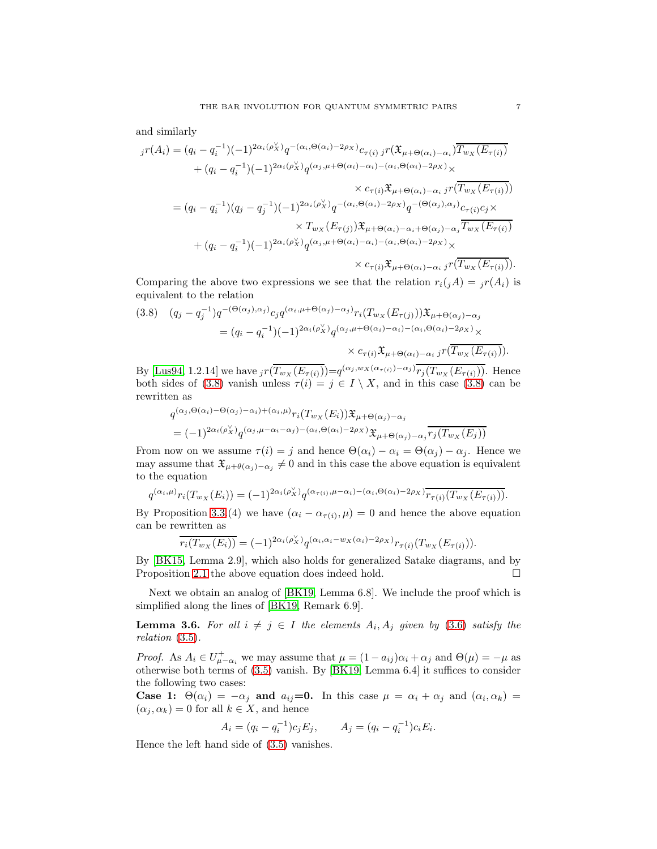and similarly

$$
{}_{j}r(A_{i}) = (q_{i} - q_{i}^{-1})(-1)^{2\alpha_{i}(\rho_{X}^{\vee})}q^{-(\alpha_{i},\Theta(\alpha_{i})-2\rho_{X})}c_{\tau(i) j}r(\mathfrak{X}_{\mu+\Theta(\alpha_{i})-\alpha_{i}})\overline{T_{w_{X}}(E_{\tau(i)})}
$$
  
+ 
$$
(q_{i} - q_{i}^{-1})(-1)^{2\alpha_{i}(\rho_{X}^{\vee})}q^{(\alpha_{j},\mu+\Theta(\alpha_{i})-\alpha_{i})-(\alpha_{i},\Theta(\alpha_{i})-2\rho_{X})} \times c_{\tau(i)}\mathfrak{X}_{\mu+\Theta(\alpha_{i})-\alpha_{i} j}r(\overline{T_{w_{X}}(E_{\tau(i)})})
$$
  
= 
$$
(q_{i} - q_{i}^{-1})(q_{j} - q_{j}^{-1})(-1)^{2\alpha_{i}(\rho_{X}^{\vee})}q^{-(\alpha_{i},\Theta(\alpha_{i})-2\rho_{X})}q^{-(\Theta(\alpha_{j}),\alpha_{j})}c_{\tau(i)}c_{j} \times
$$
  

$$
\times T_{w_{X}}(E_{\tau(j)})\mathfrak{X}_{\mu+\Theta(\alpha_{i})-\alpha_{i}+\Theta(\alpha_{j})-\alpha_{j}}\overline{T_{w_{X}}(E_{\tau(i)})}
$$
  
+ 
$$
(q_{i} - q_{i}^{-1})(-1)^{2\alpha_{i}(\rho_{X}^{\vee})}q^{(\alpha_{j},\mu+\Theta(\alpha_{i})-\alpha_{i})-(\alpha_{i},\Theta(\alpha_{i})-2\rho_{X})} \times
$$

 $\times c_{\tau(i)}\mathfrak{X}_{\mu+\Theta(\alpha_i)-\alpha_i}i^{r}(\overline{T_{w_{X}}(E_{\tau(i)})}).$ 

Comparing the above two expressions we see that the relation  $r_i(jA) = i r(A_i)$  is equivalent to the relation

<span id="page-6-0"></span>
$$
(3.8) \quad (q_j - q_j^{-1}) q^{-(\Theta(\alpha_j), \alpha_j)} c_j q^{(\alpha_i, \mu + \Theta(\alpha_j) - \alpha_j)} r_i(T_{w_X}(E_{\tau(j)})) \mathfrak{X}_{\mu + \Theta(\alpha_j) - \alpha_j}
$$
  

$$
= (q_i - q_i^{-1})(-1)^{2\alpha_i(\rho_X')} q^{(\alpha_j, \mu + \Theta(\alpha_i) - \alpha_i) - (\alpha_i, \Theta(\alpha_i) - 2\rho_X)} \times c_{\tau(i)} \mathfrak{X}_{\mu + \Theta(\alpha_i) - \alpha_i} j^r(T_{w_X}(E_{\tau(i)})).
$$

By [\[Lus94,](#page-8-8) 1.2.14] we have  $i r(\overline{T_{w_{X}}(E_{\tau(i)})}) = q^{(\alpha_j,w_{X}(\alpha_{\tau(i)})-\alpha_j)} \overline{r_j(T_{w_{X}}(E_{\tau(i)}))}$ . Hence both sides of [\(3.8\)](#page-6-0) vanish unless  $\tau(i) = j \in I \setminus X$ , and in this case (3.8) can be rewritten as

$$
q^{(\alpha_j,\Theta(\alpha_i)-\Theta(\alpha_j)-\alpha_i)+(\alpha_i,\mu)} r_i(T_{w_X}(E_i)) \mathfrak{X}_{\mu+\Theta(\alpha_j)-\alpha_j}
$$
  
= 
$$
(-1)^{2\alpha_i(\rho_X')} q^{(\alpha_j,\mu-\alpha_i-\alpha_j)-(\alpha_i,\Theta(\alpha_i)-2\rho_X)} \mathfrak{X}_{\mu+\Theta(\alpha_j)-\alpha_j} \overline{r_j(T_{w_X}(E_j))}
$$

From now on we assume  $\tau(i) = j$  and hence  $\Theta(\alpha_i) - \alpha_i = \Theta(\alpha_j) - \alpha_j$ . Hence we may assume that  $\mathfrak{X}_{\mu+\theta(\alpha_j)-\alpha_j}\neq 0$  and in this case the above equation is equivalent to the equation

$$
q^{(\alpha_i,\mu)}r_i(T_{w_X}(E_i))=(-1)^{2\alpha_i(\rho_X^{\vee})}q^{(\alpha_{\tau(i)},\mu-\alpha_i)-(\alpha_i,\Theta(\alpha_i)-2\rho_X)}\overline{r_{\tau(i)}(T_{w_X}(E_{\tau(i)}))}.
$$

By Proposition [3.3.](#page-4-3)(4) we have  $(\alpha_i - \alpha_{\tau(i)}, \mu) = 0$  and hence the above equation can be rewritten as

$$
\overline{r_i(T_{w_X}(E_i))} = (-1)^{2\alpha_i(\rho_X^{\vee})} q^{(\alpha_i, \alpha_i - w_X(\alpha_i) - 2\rho_X)} r_{\tau(i)}(T_{w_X}(E_{\tau(i)})).
$$

By [\[BK15,](#page-8-5) Lemma 2.9], which also holds for generalized Satake diagrams, and by Proposition [2.1](#page-3-5) the above equation does indeed hold.

Next we obtain an analog of [\[BK19,](#page-8-4) Lemma 6.8]. We include the proof which is simplified along the lines of [\[BK19,](#page-8-4) Remark 6.9].

**Lemma 3.6.** For all  $i \neq j \in I$  the elements  $A_i, A_j$  given by [\(3.6\)](#page-5-1) satisfy the *relation* [\(3.5\)](#page-5-2)*.*

*Proof.* As  $A_i \in U^+_{\mu-\alpha_i}$  we may assume that  $\mu = (1 - a_{ij})\alpha_i + \alpha_j$  and  $\Theta(\mu) = -\mu$  as otherwise both terms of [\(3.5\)](#page-5-2) vanish. By [\[BK19,](#page-8-4) Lemma 6.4] it suffices to consider the following two cases:

Case 1:  $\Theta(\alpha_i) = -\alpha_j$  and  $a_{ij} = 0$ . In this case  $\mu = \alpha_i + \alpha_j$  and  $(\alpha_i, \alpha_k) =$  $(\alpha_i, \alpha_k) = 0$  for all  $k \in X$ , and hence

$$
A_i = (q_i - q_i^{-1})c_j E_j, \qquad A_j = (q_i - q_i^{-1})c_i E_i.
$$

Hence the left hand side of [\(3.5\)](#page-5-2) vanishes.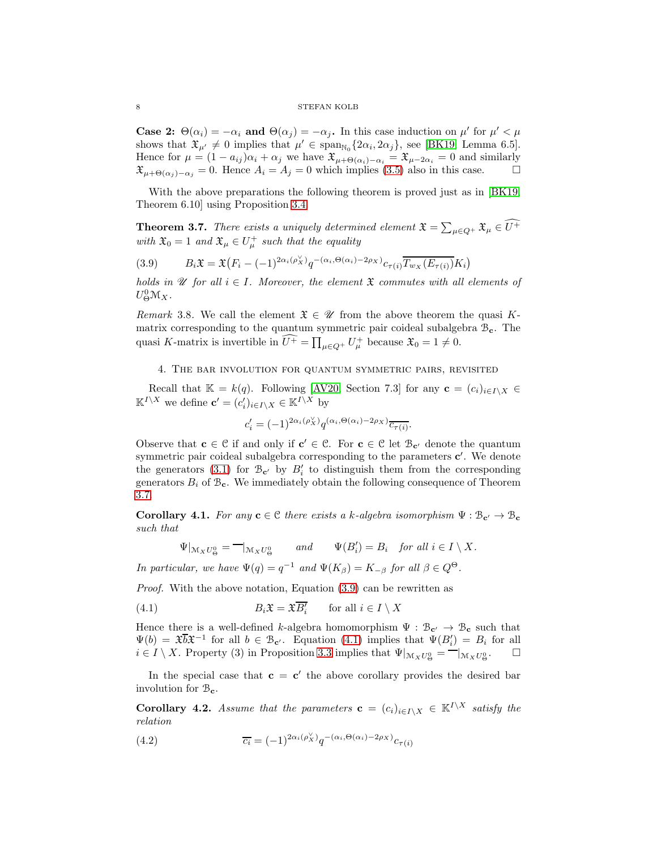#### 8 STEFAN KOLB

**Case 2:**  $\Theta(\alpha_i) = -\alpha_i$  and  $\Theta(\alpha_j) = -\alpha_j$ . In this case induction on  $\mu'$  for  $\mu' < \mu$ shows that  $\mathfrak{X}_{\mu'} \neq 0$  implies that  $\mu' \in \text{span}_{\mathbb{N}_0} \{2\alpha_i, 2\alpha_j\}$ , see [\[BK19,](#page-8-4) Lemma 6.5]. Hence for  $\mu = (1 - a_{ij})\alpha_i + \alpha_j$  we have  $\mathfrak{X}_{\mu + \Theta(\alpha_i) - \alpha_i} = \mathfrak{X}_{\mu - 2\alpha_i} = 0$  and similarly  $\mathfrak{X}_{\mu+\Theta(\alpha_i)-\alpha_j}=0.$  Hence  $A_i=A_j=0$  which implies [\(3.5\)](#page-5-2) also in this case.

With the above preparations the following theorem is proved just as in [\[BK19,](#page-8-4) Theorem 6.10] using Proposition [3.4.](#page-5-3)

<span id="page-7-3"></span>**Theorem 3.7.** *There exists a uniquely determined element*  $\mathfrak{X} = \sum_{\mu \in Q^+} \mathfrak{X}_{\mu} \in \widehat{U^+}$ *with*  $\mathfrak{X}_0 = 1$  *and*  $\mathfrak{X}_{\mu} \in U_{\mu}^+$  *such that the equality* 

<span id="page-7-0"></span>(3.9) 
$$
B_i \mathfrak{X} = \mathfrak{X}(F_i - (-1)^{2\alpha_i(\rho_X^{\vee})} q^{-(\alpha_i, \Theta(\alpha_i) - 2\rho_X)} c_{\tau(i)} \overline{T_{w_X}(E_{\tau(i)})} K_i)
$$

*holds in*  $\mathcal U$  *for all*  $i \in I$ *. Moreover, the element*  $\mathfrak X$  *commutes with all elements of*  $U^0_{\Theta} \mathcal{M}_X$ .

*Remark* 3.8. We call the element  $\mathfrak{X} \in \mathcal{U}$  from the above theorem the quasi Kmatrix corresponding to the quantum symmetric pair coideal subalgebra  $\mathcal{B}_{c}$ . The quasi K-matrix is invertible in  $\widehat{U^+} = \prod_{\mu \in Q^+} U^+_{\mu}$  because  $\mathfrak{X}_0 = 1 \neq 0$ .

<span id="page-7-2"></span>4. The bar involution for quantum symmetric pairs, revisited

Recall that  $\mathbb{K} = k(q)$ . Following [\[AV20,](#page-8-10) Section 7.3] for any  $\mathbf{c} = (c_i)_{i \in I \setminus X} \in$  $\mathbb{K}^{I \setminus X}$  we define  $\mathbf{c}' = (c'_i)_{i \in I \setminus X} \in \mathbb{K}^{I \setminus X}$  by

$$
c'_{i} = (-1)^{2\alpha_i(\rho_X^{\vee})} q^{(\alpha_i, \Theta(\alpha_i) - 2\rho_X)} \overline{c_{\tau(i)}}.
$$

Observe that  $\mathbf{c} \in \mathcal{C}$  if and only if  $\mathbf{c}' \in \mathcal{C}$ . For  $\mathbf{c} \in \mathcal{C}$  let  $\mathcal{B}_{\mathbf{c}'}$  denote the quantum symmetric pair coideal subalgebra corresponding to the parameters  $c'$ . We denote the generators [\(3.1\)](#page-4-0) for  $\mathcal{B}_{c'}$  by  $B'_i$  to distinguish them from the corresponding generators  $B_i$  of  $\mathcal{B}_{\mathbf{c}}$ . We immediately obtain the following consequence of Theorem [3.7.](#page-7-3)

**Corollary 4.1.** *For any*  $c \in C$  *there exists a k*-algebra isomorphism  $\Psi : B_{c'} \to B_c$ *such that*

$$
\Psi|_{\mathcal{M}_X U^0_{\Theta}} = -|_{\mathcal{M}_X U^0_{\Theta}} \qquad and \qquad \Psi(B'_i) = B_i \quad \text{for all } i \in I \setminus X.
$$

*In particular, we have*  $\Psi(q) = q^{-1}$  *and*  $\Psi(K_\beta) = K_{-\beta}$  *for all*  $\beta \in Q^\Theta$ .

*Proof.* With the above notation, Equation [\(3.9\)](#page-7-0) can be rewritten as

<span id="page-7-4"></span>(4.1) 
$$
B_i \mathfrak{X} = \mathfrak{X} \overline{B'_i} \quad \text{for all } i \in I \setminus X
$$

Hence there is a well-defined k-algebra homomorphism  $\Psi : \mathcal{B}_{c'} \to \mathcal{B}_{c}$  such that  $\Psi(b) = \mathfrak{X} \overline{b} \mathfrak{X}^{-1}$  for all  $b \in \mathcal{B}_{\mathbf{c}'}$ . Equation [\(4.1\)](#page-7-4) implies that  $\Psi(B'_i) = B_i$  for all  $i \in I \setminus X$ . Property (3) in Proposition [3.3](#page-4-3) implies that  $\Psi|_{\mathcal{M}_X U^0_{\Theta}} = -|_{\mathcal{M}_X U^0_{\Theta}}$ .  $\Box$ 

In the special case that  $c = c'$  the above corollary provides the desired bar involution for  $\mathcal{B}_{c}$ .

<span id="page-7-1"></span>**Corollary 4.2.** *Assume that the parameters*  $\mathbf{c} = (c_i)_{i \in I \setminus X} \in \mathbb{K}^{I \setminus X}$  *satisfy the relation*

(4.2) 
$$
\overline{c_i} = (-1)^{2\alpha_i(\rho_X^{\vee})} q^{-(\alpha_i, \Theta(\alpha_i) - 2\rho_X)} c_{\tau(i)}
$$